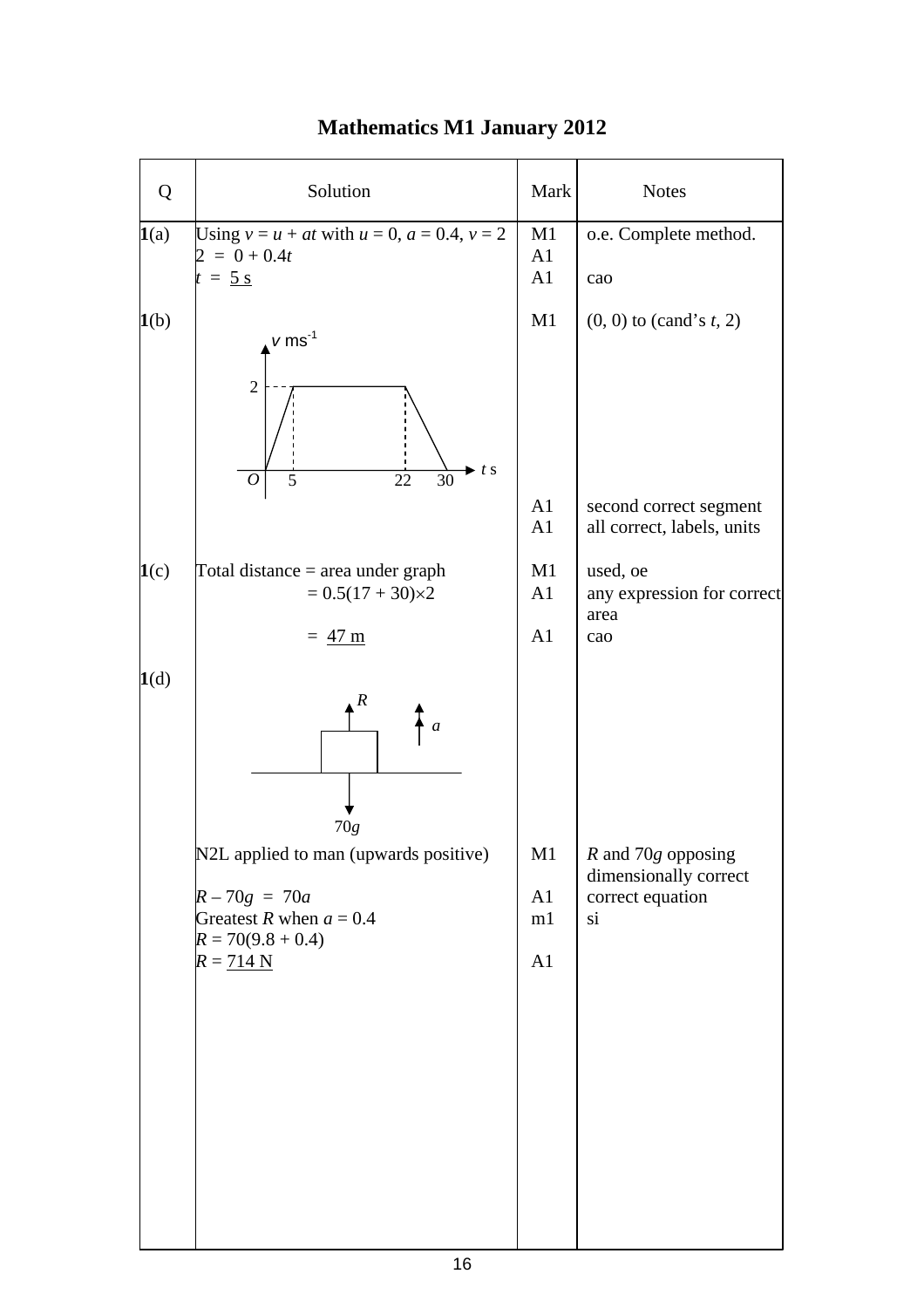| Q    | Solution                                                                                                                                                    | Mark                       | <b>Notes</b>                                                                      |
|------|-------------------------------------------------------------------------------------------------------------------------------------------------------------|----------------------------|-----------------------------------------------------------------------------------|
| 1(a) | Using $v = u + at$ with $u = 0$ , $a = 0.4$ , $v = 2$<br>$= 0 + 0.4t$<br>$= 5 s$                                                                            | M1<br>A1<br>A1             | o.e. Complete method.<br>cao                                                      |
| 1(b) | $v\, \rm ms^{-1}$<br>$\overline{2}$<br>t s<br>$\overline{30}$<br>22<br>5<br>0                                                                               | M1<br>A1<br>A1             | $(0, 0)$ to (cand's t, 2)<br>second correct segment<br>all correct, labels, units |
| 1(c) | Total distance $=$ area under graph<br>$= 0.5(17 + 30)\times 2$<br>$= 47 \text{ m}$                                                                         | M1<br>A <sub>1</sub><br>A1 | used, oe<br>any expression for correct<br>area<br>cao                             |
| 1(d) | R<br>$\boldsymbol{a}$<br>70g<br>N2L applied to man (upwards positive)<br>$R - 70g = 70a$<br>Greatest R when $a = 0.4$<br>$R = 70(9.8 + 0.4)$<br>$R = 714 N$ | M1<br>A1<br>m1<br>A1       | $R$ and 70 $g$ opposing<br>dimensionally correct<br>correct equation<br>si        |

## **Mathematics M1 January 2012**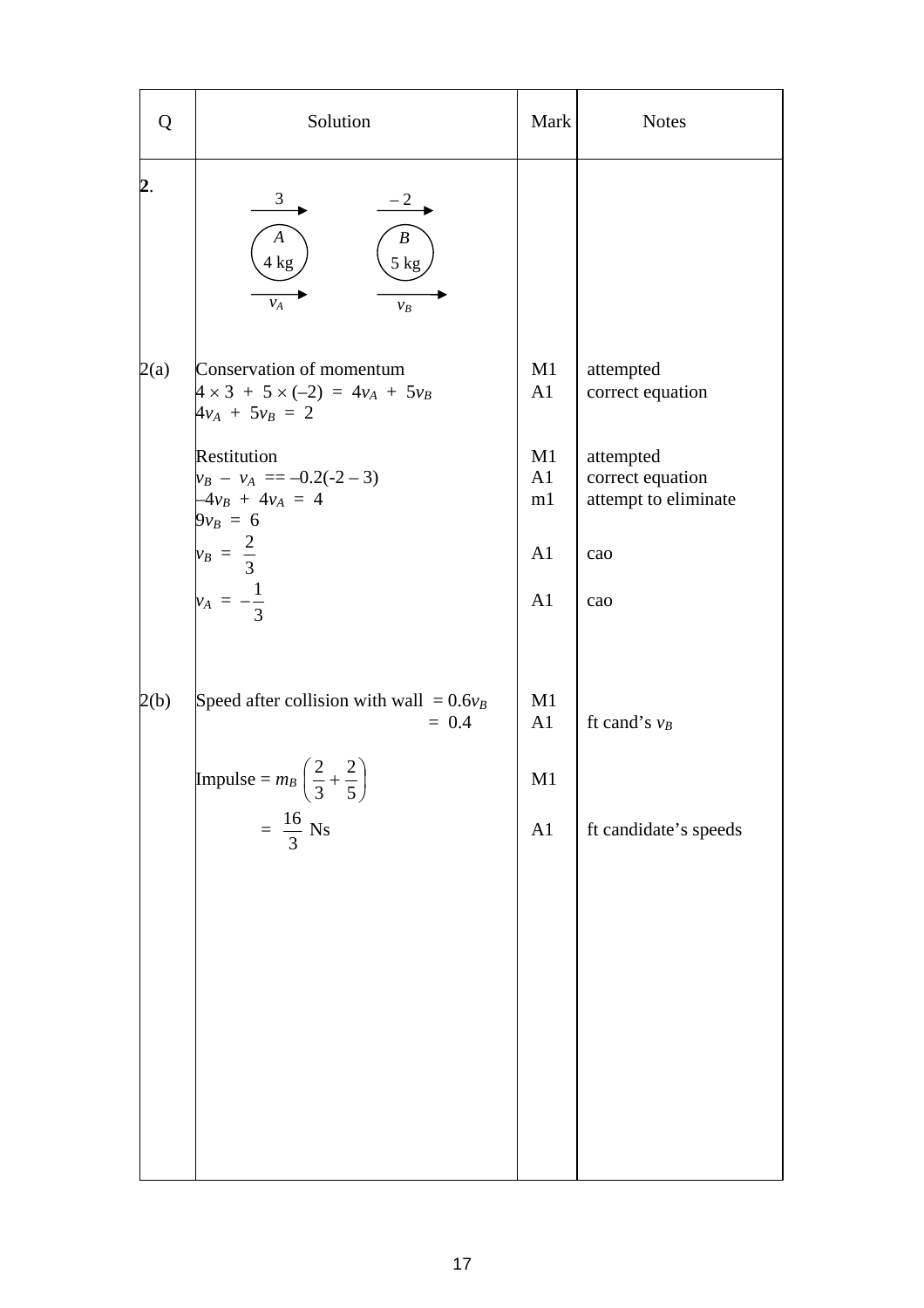| Q    | Solution                                                                                        | Mark           | <b>Notes</b>                                          |
|------|-------------------------------------------------------------------------------------------------|----------------|-------------------------------------------------------|
| 2.   | $\frac{3}{2}$<br>$-2$<br>$\boldsymbol{A}$<br>$\boldsymbol{B}$<br>5 kg<br>4 kg<br>$v_A$<br>$v_B$ |                |                                                       |
| 2(a) | Conservation of momentum<br>$4 \times 3 + 5 \times (-2) = 4v_A + 5v_B$<br>$4v_A + 5v_B = 2$     | M1<br>A1       | attempted<br>correct equation                         |
|      | Restitution<br>$v_B - v_A = -0.2(-2 - 3)$<br>$-4v_B + 4v_A = 4$<br>$9v_B = 6$                   | M1<br>A1<br>m1 | attempted<br>correct equation<br>attempt to eliminate |
|      | $v_B = \frac{2}{3}$                                                                             | A1             | cao                                                   |
|      | $v_A = -\frac{1}{3}$                                                                            | A1             | cao                                                   |
| 2(b) | Speed after collision with wall = $0.6v_B$<br>$= 0.4$                                           | M1<br>A1       | ft cand's $v_B$                                       |
|      | Impulse = $m_B$ $\left(\frac{2}{3} + \frac{2}{5}\right)$                                        | M1             |                                                       |
|      | $=\frac{16}{3}$ Ns                                                                              | A1             | ft candidate's speeds                                 |
|      |                                                                                                 |                |                                                       |
|      |                                                                                                 |                |                                                       |
|      |                                                                                                 |                |                                                       |
|      |                                                                                                 |                |                                                       |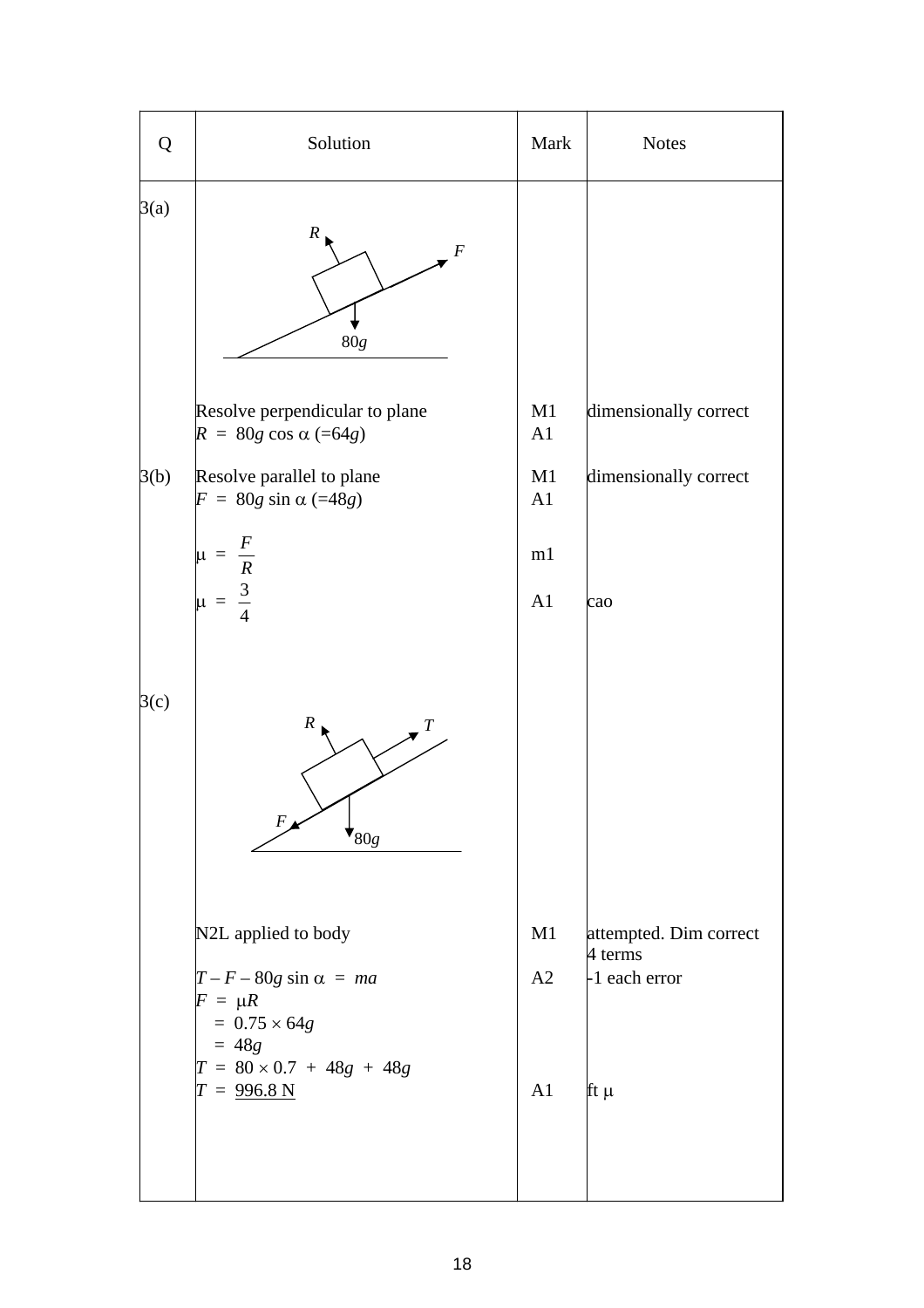| Q    | Solution                                                                                               | Mark     | <b>Notes</b>                                         |
|------|--------------------------------------------------------------------------------------------------------|----------|------------------------------------------------------|
| 3(a) | $\cal R$<br>F<br>80g                                                                                   |          |                                                      |
|      | Resolve perpendicular to plane<br>$R = 80g \cos \alpha (=64g)$                                         | M1<br>A1 | dimensionally correct                                |
| 3(b) | Resolve parallel to plane<br>$F = 80g \sin \alpha (=48g)$                                              | M1<br>A1 | dimensionally correct                                |
|      | $\mu = \frac{F}{R}$<br>$\mu = \frac{3}{4}$                                                             | m1<br>A1 | cao                                                  |
| 3(c) | $\boldsymbol{R}$<br>Т<br>F<br>$\mathbf{V}_{80g}$                                                       |          |                                                      |
|      | N2L applied to body<br>$T - F - 80g \sin \alpha = ma$<br>$F = \mu R$<br>$= 0.75 \times 64g$<br>$= 48g$ | M1<br>A2 | attempted. Dim correct<br>4 terms<br>$-1$ each error |
|      | $T = 80 \times 0.7 + 48g + 48g$<br>$T = 996.8 N$                                                       | A1       | $\mathop{\text{ft}}\nolimits\mu$                     |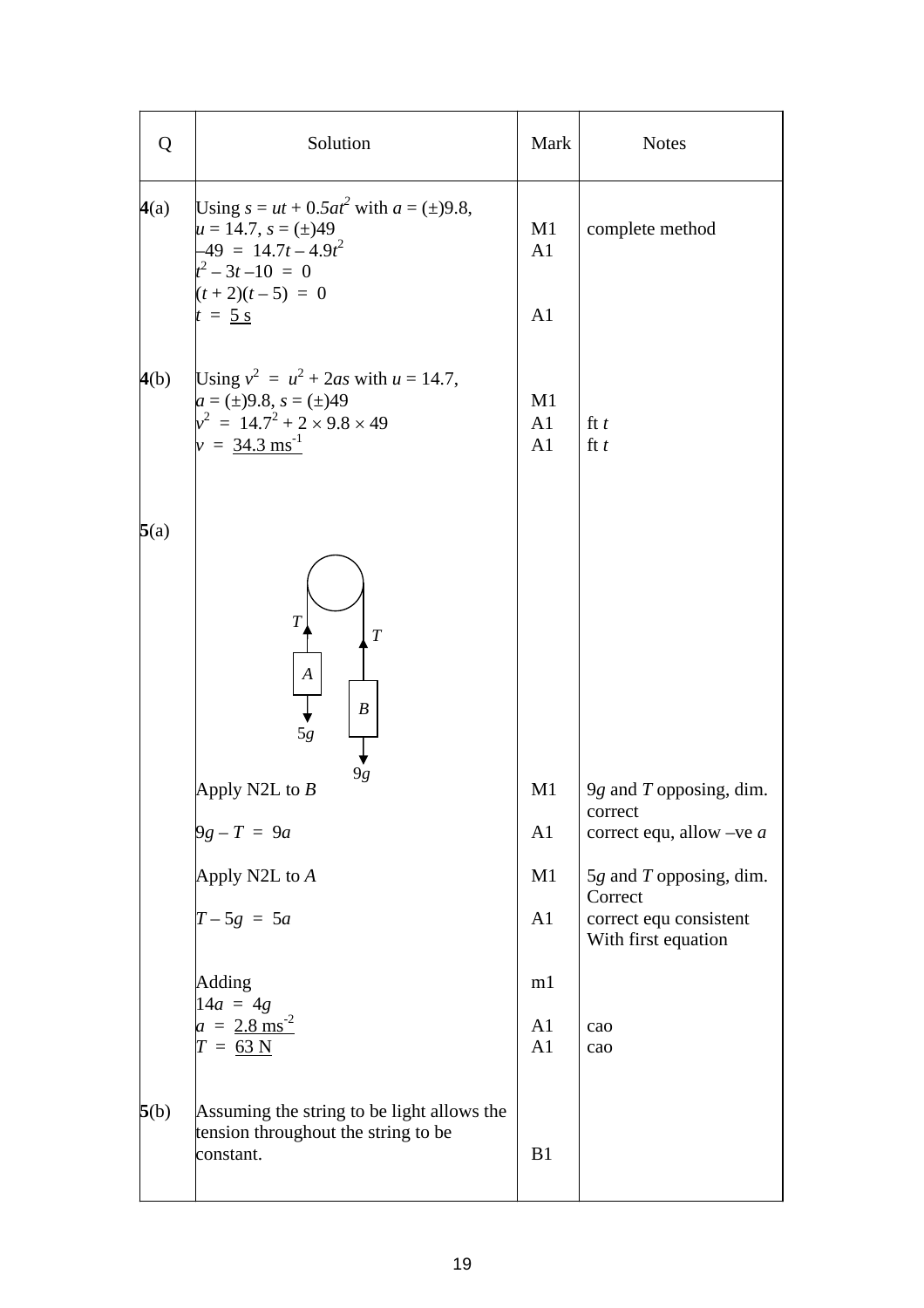| Q    | Solution                                                                                                                                          | Mark                                               | <b>Notes</b>                                             |
|------|---------------------------------------------------------------------------------------------------------------------------------------------------|----------------------------------------------------|----------------------------------------------------------|
| 4(a) | Using $s = ut + 0.5at^2$ with $a = (\pm)9.8$ ,<br>$\mu = 14.7, s = (\pm)49$<br>$-49 = 14.7t - 4.9t^2$<br>$t^2-3t-10 = 0$                          | M1<br>A <sub>1</sub>                               | complete method                                          |
|      | $(t+2)(t-5) = 0$<br>$t = 5$ s                                                                                                                     | A1                                                 |                                                          |
| 4(b) | Using $v^2 = u^2 + 2as$ with $u = 14.7$ ,<br>$a = (\pm)9.8, s = (\pm)49$<br>$v^2 = 14.7^2 + 2 \times 9.8 \times 49$<br>$v = 34.3 \text{ ms}^{-1}$ | M <sub>1</sub><br>A <sub>1</sub><br>A <sub>1</sub> | ft $t$<br>ft t                                           |
| 5(a) |                                                                                                                                                   |                                                    |                                                          |
|      | $\overline{T}$<br>$\boldsymbol{T}$<br>$\boldsymbol{A}$<br>$\boldsymbol{B}$<br>5g<br>9g<br>Apply N2L to $B$                                        | M1                                                 | 9g and $T$ opposing, dim.                                |
|      | $9g - T = 9a$                                                                                                                                     | A <sub>1</sub>                                     | correct<br>correct equ, allow $-ve\ a$                   |
|      | Apply N2L to A                                                                                                                                    | M1                                                 | $5g$ and T opposing, dim.                                |
|      | $T - 5g = 5a$                                                                                                                                     | A <sub>1</sub>                                     | Correct<br>correct equ consistent<br>With first equation |
|      | Adding<br>$14a = 4g$                                                                                                                              | m1                                                 |                                                          |
|      | $a = 2.8 \text{ ms}^{-2}$<br>$T = 63 N$                                                                                                           | A <sub>1</sub><br>A <sub>1</sub>                   | cao<br>cao                                               |
| 5(b) | Assuming the string to be light allows the<br>tension throughout the string to be<br>constant.                                                    | B1                                                 |                                                          |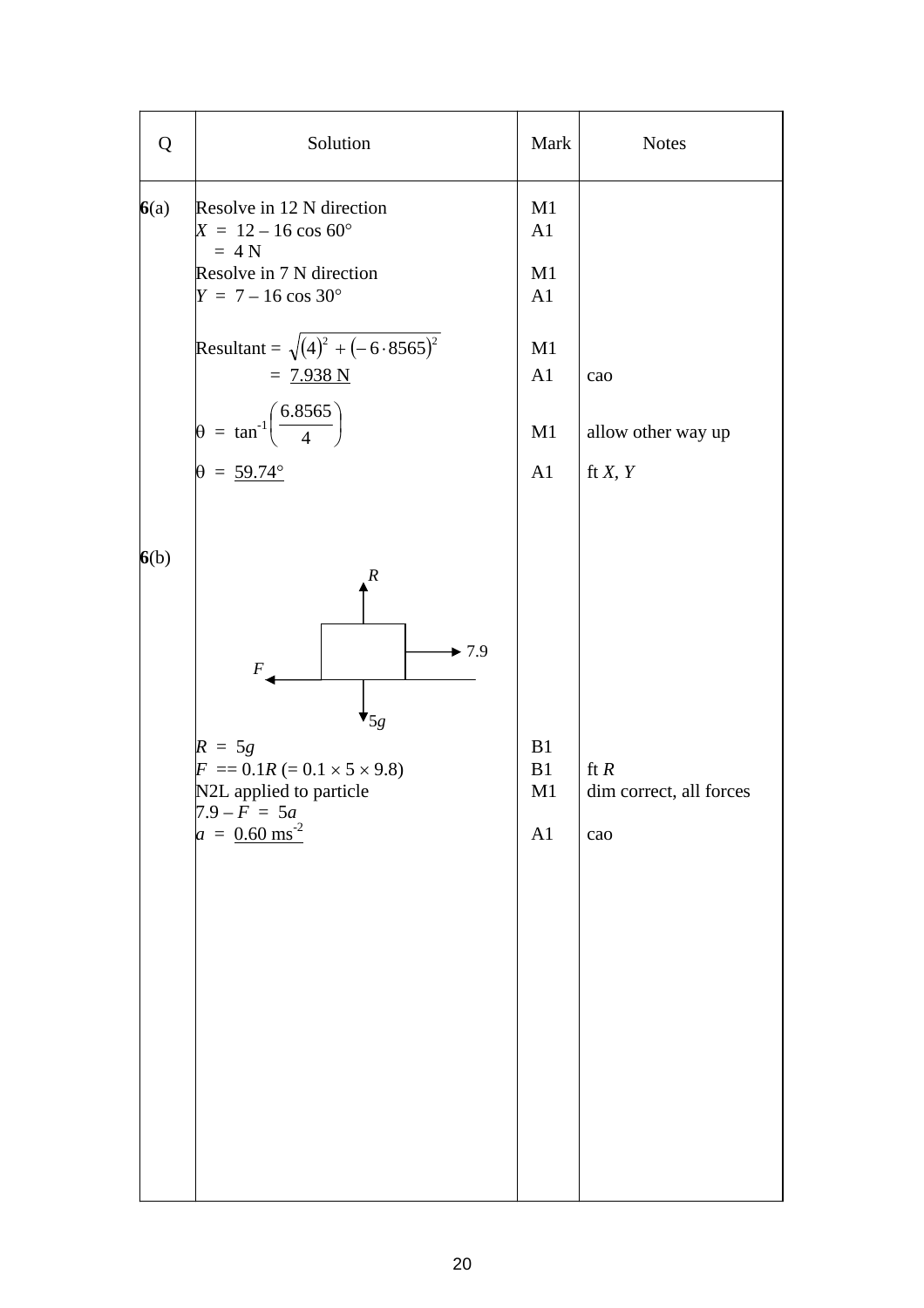| Q    | Solution                                                                                                                                                                                                                 | Mark                             | <b>Notes</b>                             |
|------|--------------------------------------------------------------------------------------------------------------------------------------------------------------------------------------------------------------------------|----------------------------------|------------------------------------------|
| 6(a) | Resolve in 12 N direction<br>$X = 12 - 16 \cos 60^{\circ}$<br>$= 4 N$<br>Resolve in 7 N direction                                                                                                                        | M1<br>A1<br>M1                   |                                          |
|      | $Y = 7 - 16 \cos 30^{\circ}$                                                                                                                                                                                             | A1                               |                                          |
|      | Resultant = $\sqrt{(4)^2 + (-6.8565)^2}$<br>$= 7.938 N$                                                                                                                                                                  | M1<br>A <sub>1</sub>             | cao                                      |
|      | $\theta = \tan^{-1} \left( \frac{6.8565}{4} \right)$                                                                                                                                                                     | M1                               | allow other way up                       |
|      | $\theta = 59.74^{\circ}$                                                                                                                                                                                                 | A <sub>1</sub>                   | ft $X, Y$                                |
| 6(b) | $\boldsymbol{R}$<br>$\blacktriangleright$ 7.9<br>$\boldsymbol{F}$<br>$\mathbf{v}_{5g}$<br>$R = 5g$<br>$F = 0.1R (= 0.1 \times 5 \times 9.8)$<br>N2L applied to particle<br>$7.9 - F = 5a$<br>$a = 0.60$ ms <sup>-2</sup> | B1<br>B1<br>M1<br>A <sub>1</sub> | ft $R$<br>dim correct, all forces<br>cao |